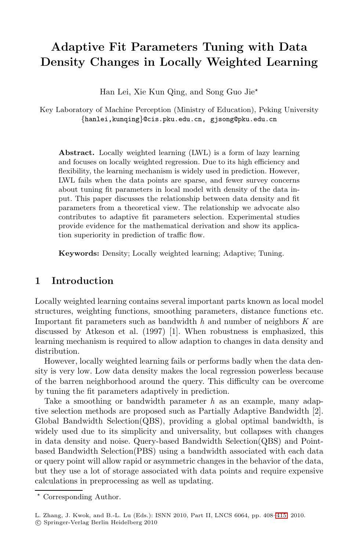# **Adaptive Fit Parameters Tuning with Data Density Changes in Locally Weighted Learning**

Han Lei, Xie Kun Qing, and Song Guo Jie-

Key Laboratory of Machine Perception (Ministry of Education), Peking University *{*hanlei,kunqing*}*@cis.pku.edu.cn, gjsong@pku.edu.cn

**Abstract.** Locally weighted learning (LWL) is a form of lazy learning and focuses on locally weighted regression. Due to its high efficiency and flexibility, the learning mechanism is widely used in prediction. However, LWL fails when the data points are sparse, and fewer survey concerns about tuning fit parameters in local model with density of the data input. This paper discusses the relationship between data density and fit parameters from a theoretical view. The relationship we advocate also contributes to adaptive fit parameters selection. Experimental studies provide evidence for the mathematical derivation and show its application superiority in prediction of traffic flow.

**Keywords:** Density; Locally weighted learning; Adaptive; Tuning.

## **1 Introduction**

Locally weighted learning contains several important parts known as local model structures, weighting functions, smoothing parameters, distance functions etc. Important fit parameters such as bandwidth *h* and number of neighbors *K* are discussed by Atkeson et al. (1997) [1]. When robustness is emphasized, this learning mechanism is required to allow adaption to changes in data density and distribution.

However, locally weighted learning fails or performs badly when the data density is very low. Low data density makes the local regression powerless because of the barren neighborhood around the query. This difficulty can be overcome by tuning the fit parameters adaptively in prediction.

Take a smoothing or bandwidth parameter *h* as an example, many adaptive selection methods are proposed such as Partially Adaptive Bandwidth [2]. Global Bandwidth Selection(QBS), providing a global optimal bandwidth, is widely used due to its simplicity and universality, but collapses with changes in data density and noise. Query-based Band[width](#page-7-0) Selection(QBS) and Pointbased Bandwidth Selection(PBS) using a bandwidth associated with each data or query point will allow rapid or asymmetric changes in the behavior of the data, but they use a lot of storage associated with data points and require expensive calculations in preprocessing as well as updating.

<sup>-</sup> Corresponding Author.

L. Zhang, J. Kwok, and B.-L. Lu (Eds.): ISNN 2010, Part II, LNCS 6064, pp. 408–415, 2010.

<sup>-</sup>c Springer-Verlag Berlin Heidelberg 2010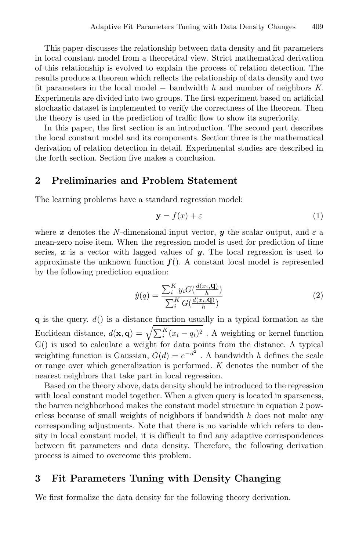This paper discusses the relationship between data density and fit parameters in local constant model from a theoretical view. Strict mathematical derivation of this relationship is evolved to explain the process of relation detection. The results produce a theorem which reflects the relationship of data density and two fit parameters in the local model <sup>−</sup> bandwidth *<sup>h</sup>* and number of neighbors *<sup>K</sup>*. Experiments are divided into two groups. The first experiment based on artificial stochastic dataset is implemented to verify the correctness of the theorem. Then the theory is used in the prediction of traffic flow to show its superiority.

In this paper, the first section is an introduction. The second part describes the local constant model and its components. Section three is the mathematical derivation of relation detection in detail. Experimental studies are described in the forth section. Section five makes a conclusion.

## **2 Preliminaries and Problem Statement**

The learning problems have a standard regression model:

$$
y = f(x) + \varepsilon \tag{1}
$$

where *x* denotes the *N*-dimensional input vector, *y* the scalar output, and  $\varepsilon$  a mean-zero noise item. When the regression model is used for prediction of time series, *x* is a vector with lagged values of *y*. The local regression is used to approximate the unknown function  $f()$ . A constant local model is represented by the following prediction equation:

$$
\hat{y}(q) = \frac{\sum_{i}^{K} y_i G(\frac{d(x_i, \mathbf{q})}{h})}{\sum_{i}^{K} G(\frac{d(x_i, \mathbf{q})}{h})}
$$
(2)

**q** is the query. *d*() is a distance function usually in a typical formation as the Euclidean distance,  $d(\mathbf{x}, \mathbf{q}) = \sqrt{\sum_{i}^{K} (x_i - q_i)^2}$ . A weighting or kernel function G() is used to calculate a weight for data points from the distance. A typical weighting function is Gaussian,  $G(d) = e^{-d^2}$ . A bandwidth *h* defines the scale or range over which generalization is performed. *K* denotes the number of the nearest neighbors that take part in local regression.

Based on the theory above, data density should be introduced to the regression with local constant model together. When a given query is located in sparseness, the barren neighborhood makes the constant model structure in equation 2 powerless because of small weights of neighbors if bandwidth *h* does not make any corresponding adjustments. Note that there is no variable which refers to density in local constant model, it is difficult to find any adaptive correspondences between fit parameters and data density. Therefore, the following derivation process is aimed to overcome this problem.

## **3 Fit Parameters Tuning with Density Changing**

We first formalize the data density for the following theory derivation.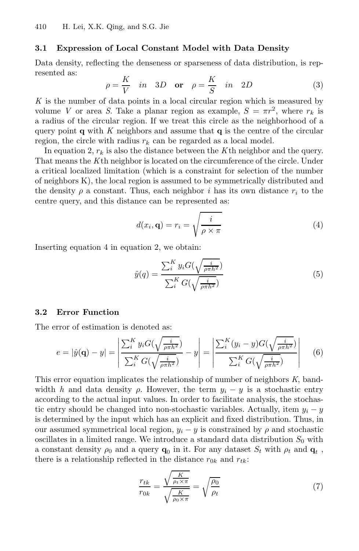#### **3.1 Expression of Local Constant Model with Data Density**

Data density, reflecting the denseness or sparseness of data distribution, is represented as:

$$
\rho = \frac{K}{V} \quad in \quad 3D \quad \text{or} \quad \rho = \frac{K}{S} \quad in \quad 2D \tag{3}
$$

*K* is the number of data points in a local circular region which is measured by volume *V* or area *S*. Take a planar region as example,  $S = \pi r^2$ , where  $r_k$  is a radius of the circular region. If we treat this circle as the neighborhood of a query point **q** with  $K$  neighbors and assume that **q** is the centre of the circular region, the circle with radius  $r_k$  can be regarded as a local model.

In equation 2,  $r_k$  is also the distance between the  $K$ <sup>th</sup> neighbor and the query. That means the *K*th neighbor is located on the circumference of the circle. Under a critical localized limitation (which is a constraint for selection of the number of neighbors K), the local region is assumed to be symmetrically distributed and the density  $\rho$  a constant. Thus, each neighbor *i* has its own distance  $r_i$  to the centre query, and this distance can be represented as:

$$
d(x_i, \mathbf{q}) = r_i = \sqrt{\frac{i}{\rho \times \pi}}
$$
 (4)

Inserting equation 4 in equation 2, we obtain:

$$
\hat{y}(q) = \frac{\sum_{i}^{K} y_i G(\sqrt{\frac{i}{\rho \pi h^2}})}{\sum_{i}^{K} G(\sqrt{\frac{i}{\rho \pi h^2}})}
$$
\n
$$
(5)
$$

#### **3.2 Error Function**

The error of estimation is denoted as:

$$
e = |\hat{y}(\mathbf{q}) - y| = \left| \frac{\sum_{i}^{K} y_i G(\sqrt{\frac{i}{\rho \pi h^2}})}{\sum_{i}^{K} G(\sqrt{\frac{i}{\rho \pi h^2}})} - y \right| = \left| \frac{\sum_{i}^{K} (y_i - y) G(\sqrt{\frac{i}{\rho \pi h^2}})}{\sum_{i}^{K} G(\sqrt{\frac{i}{\rho \pi h^2}})} \right| \tag{6}
$$

This error equation implicates the relationship of number of neighbors *K*, bandwidth *h* and data density  $\rho$ . However, the term  $y_i - y$  is a stochastic entry according to the actual input values. In order to facilitate analysis, the stochastic entry should be changed into non-stochastic variables. Actually, item  $y_i - y$ is determined by the input which has an explicit and fixed distribution. Thus, in our assumed symmetrical local region,  $y_i - y$  is constrained by  $\rho$  and stochastic oscillates in a limited range. We introduce a standard data distribution  $S_0$  with a constant density  $\rho_0$  and a query  $\mathbf{q}_0$  in it. For any dataset  $S_t$  with  $\rho_t$  and  $\mathbf{q}_t$ , there is a relationship reflected in the distance  $r_{0k}$  and  $r_{tk}$ :

$$
\frac{r_{tk}}{r_{0k}} = \frac{\sqrt{\frac{K}{\rho_t \times \pi}}}{\sqrt{\frac{K}{\rho_0 \times \pi}}} = \sqrt{\frac{\rho_0}{\rho_t}}
$$
(7)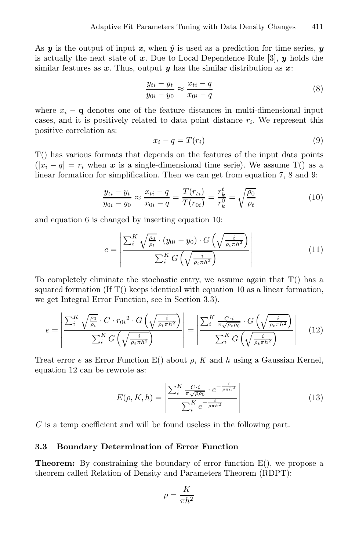As  $y$  is the output of input  $x$ , when  $\hat{y}$  is used as a prediction for time series,  $y$ is actually the next state of *x*. Due to Local Dependence Rule [3], *y* holds the similar features as *x*. Thus, output *y* has the similar distribution as *x*:

$$
\frac{y_{ti} - y_t}{y_{0i} - y_0} \approx \frac{x_{ti} - q}{x_{0i} - q}
$$
\n(8)

where  $x_i - \mathbf{q}$  denotes one of the feature distances in multi-dimensional input cases, and it is positively related to data point distance  $r_i$ . We represent this positive correlation as:

$$
x_i - q = T(r_i) \tag{9}
$$

T() has various formats that depends on the features of the input data points  $(|x_i - q| = r_i$  when *x* is a single-dimensional time serie). We assume T() as a linear formation for simplification. Then we can get from equation 7, 8 and 9:

$$
\frac{y_{ti} - y_t}{y_{0i} - y_0} \approx \frac{x_{ti} - q}{x_{0i} - q} = \frac{T(r_{ti})}{T(r_{0i})} = \frac{r_k^t}{r_k^0} = \sqrt{\frac{\rho_0}{\rho_t}}
$$
(10)

and equation 6 is changed by inserting equation 10:

$$
e = \left| \frac{\sum_{i}^{K} \sqrt{\frac{\rho_0}{\rho_t} \cdot (y_{0i} - y_0) \cdot G\left(\sqrt{\frac{i}{\rho_t \pi h^2}}\right)}}{\sum_{i}^{K} G\left(\sqrt{\frac{i}{\rho_t \pi h^2}}\right)} \right| \tag{11}
$$

To completely eliminate the stochastic entry, we assume again that T() has a squared formation (If  $T()$  keeps identical with equation 10 as a linear formation, we get Integral Error Function, see in Section 3.3).

$$
e = \left| \frac{\sum_{i}^{K} \sqrt{\frac{\rho_{0}}{\rho_{t}} \cdot C \cdot r_{0i}^{2} \cdot G\left(\sqrt{\frac{i}{\rho_{t} \pi h^{2}}}\right)}}{\sum_{i}^{K} G\left(\sqrt{\frac{i}{\rho_{t} \pi h^{2}}}\right)} \right| = \left| \frac{\sum_{i}^{K} \frac{C \cdot i}{\pi \sqrt{\rho_{t} \rho_{0}} \cdot G\left(\sqrt{\frac{i}{\rho_{t} \pi h^{2}}}\right)}}{\sum_{i}^{K} G\left(\sqrt{\frac{i}{\rho_{t} \pi h^{2}}}\right)} \right| \quad (12)
$$

Treat error *e* as Error Function E() about ρ, *K* and *h* using a Gaussian Kernel, equation 12 can be rewrote as:

$$
E(\rho, K, h) = \left| \frac{\sum_{i}^{K} \frac{C \cdot i}{\pi \sqrt{\rho \rho_0} \cdot e^{-\frac{i}{\rho \pi h^2}}}}{\sum_{i}^{K} e^{-\frac{i}{\rho \pi h^2}}} \right| \tag{13}
$$

*C* is a temp coefficient and will be found useless in the following part.

#### **3.3 Boundary Determination of Error Function**

**Theorem:** By constraining the boundary of error function  $E()$ , we propose a theorem called Relation of Density and Parameters Theorem (RDPT):

$$
\rho=\frac{K}{\pi h^2}
$$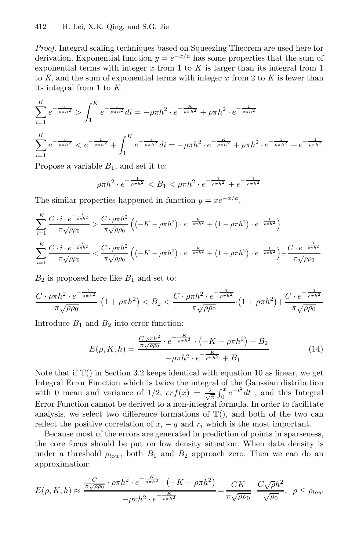*Proof.* Integral scaling techniques based on Squeezing Theorem are used here for derivation. Exponential function  $y = e^{-x/a}$  has some properties that the sum of exponential terms with integer  $x$  from 1 to  $K$  is larger than its integral from 1 to *K*, and the sum of exponential terms with integer *x* from 2 to *K* is fewer than its integral from 1 to *K*.

$$
\sum_{i=1}^{K} e^{-\frac{i}{\rho \pi h^2}} > \int_{1}^{K} e^{-\frac{i}{\rho \pi h^2}} di = -\rho \pi h^2 \cdot e^{-\frac{K}{\rho \pi h^2}} + \rho \pi h^2 \cdot e^{-\frac{1}{\rho \pi h^2}}
$$
\n
$$
\sum_{i=1}^{K} e^{-\frac{i}{\rho \pi h^2}} < e^{-\frac{1}{\rho \pi h^2}} + \int_{1}^{K} e^{-\frac{i}{\rho \pi h^2}} di = -\rho \pi h^2 \cdot e^{-\frac{K}{\rho \pi h^2}} + \rho \pi h^2 \cdot e^{-\frac{1}{\rho \pi h^2}} + e^{-\frac{1}{\rho \pi h^2}}
$$

Propose a variable  $B_1$ , and set it to:

$$
\rho \pi h^2 \cdot e^{-\frac{1}{\rho \pi h^2}} < B_1 < \rho \pi h^2 \cdot e^{-\frac{1}{\rho \pi h^2}} + e^{-\frac{1}{\rho \pi h^2}}
$$

The similar properties happened in function  $y = xe^{-x/a}$ .

$$
\sum_{i=1}^{K} \frac{C \cdot i \cdot e^{-\frac{i}{\rho \pi h^2}}}{\pi \sqrt{\rho \rho_0}} > \frac{C \cdot \rho \pi h^2}{\pi \sqrt{\rho \rho_0}} \left( \left( -K - \rho \pi h^2 \right) \cdot e^{-\frac{K}{\rho \pi h^2}} + \left( 1 + \rho \pi h^2 \right) \cdot e^{-\frac{1}{\rho \pi h^2}} \right)
$$
\n
$$
\sum_{i=1}^{K} \frac{C \cdot i \cdot e^{-\frac{i}{\rho \pi h^2}}}{\pi \sqrt{\rho \rho_0}} < \frac{C \cdot \rho \pi h^2}{\pi \sqrt{\rho \rho_0}} \left( \left( -K - \rho \pi h^2 \right) \cdot e^{-\frac{K}{\rho \pi h^2}} + \left( 1 + \rho \pi h^2 \right) \cdot e^{-\frac{1}{\rho \pi h^2}} \right) + \frac{C \cdot e^{-\frac{1}{\rho \pi h^2}}}{\pi \sqrt{\rho \rho_0}}
$$

 $B_2$  is proposed here like  $B_1$  and set to:

$$
\frac{C \cdot \rho \pi h^2 \cdot e^{-\frac{1}{\rho \pi h^2}}}{\pi \sqrt{\rho \rho_0}} \cdot (1 + \rho \pi h^2) < B_2 < \frac{C \cdot \rho \pi h^2 \cdot e^{-\frac{1}{\rho \pi h^2}}}{\pi \sqrt{\rho \rho_0}} \cdot (1 + \rho \pi h^2) + \frac{C \cdot e^{-\frac{1}{\rho \pi h^2}}}{\pi \sqrt{\rho \rho_0}}
$$

Introduce  $B_1$  and  $B_2$  into error function:

$$
E(\rho, K, h) = \frac{\frac{C \cdot \rho \pi h^2}{\pi \sqrt{\rho \rho_0}} \cdot e^{-\frac{K}{\rho \pi h^2}} \cdot \left( -K - \rho \pi h^2 \right) + B_2}{-\rho \pi h^2 \cdot e^{-\frac{K}{\rho \pi h^2}} + B_1}
$$
(14)

Note that if  $T()$  in Section 3.2 keeps identical with equation 10 as linear, we get Integral Error Function which is twice the integral of the Gaussian distribution with 0 mean and variance of  $1/2$ ,  $erf(x) = \frac{2}{\sqrt{\pi}} \int_0^x e^{-t^2} dt$ , and this Integral Error Function cannot be derived to a non-integral formula. In order to facilitate analysis, we select two difference formations of  $T()$ , and both of the two can reflect the positive correlation of  $x_i - q$  and  $r_i$  which is the most important.

Because most of the errors are generated in prediction of points in sparseness, the core focus should be put on low density situation. When data density is under a threshold  $\rho_{low}$ , both  $B_1$  and  $B_2$  approach zero. Then we can do an approximation:

$$
E(\rho, K, h) \approx \frac{\frac{C}{\pi\sqrt{\rho\rho_0}} \cdot \rho \pi h^2 \cdot e^{-\frac{K}{\rho \pi h^2}} \cdot \left(-K - \rho \pi h^2\right)}{-\rho \pi h^2 \cdot e^{-\frac{K}{\rho \pi h^2}}} = \frac{CK}{\pi\sqrt{\rho\rho_0}} + \frac{C\sqrt{\rho}h^2}{\sqrt{\rho_0}}, \quad \rho \le \rho_{low}
$$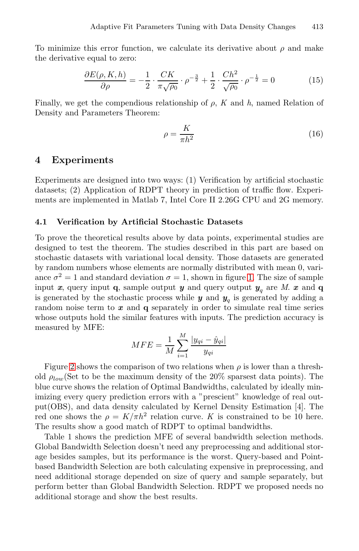To minimize this error function, we calculate its derivative about  $\rho$  and make the derivative equal to zero:

$$
\frac{\partial E(\rho, K, h)}{\partial \rho} = -\frac{1}{2} \cdot \frac{CK}{\pi \sqrt{\rho_0}} \cdot \rho^{-\frac{3}{2}} + \frac{1}{2} \cdot \frac{Ch^2}{\sqrt{\rho_0}} \cdot \rho^{-\frac{1}{2}} = 0 \tag{15}
$$

Finally, we get the compendious relationship of ρ, *K* and *h*, named Relation of Density and Parameters Theorem:

$$
\rho = \frac{K}{\pi h^2} \tag{16}
$$

## **4 Experiments**

Experiments are designed into two ways: (1) Verification by artificial stochastic datasets; (2) Application of RDPT theory in prediction of traffic flow. Experiments are implemented in Matlab 7, In[te](#page-6-0)l Core II 2.26G CPU and 2G memory.

#### **4.1 Verification by Artificial Stochastic Datasets**

To prove the theoretical results above by data points, experimental studies are designed to test the theorem. The studies described in this part are based on stochastic datasets with variational local density. Those datasets are generated by random numbers whose elements are normally distributed with mean 0, variance  $\sigma^2 = 1$  and standard deviation  $\sigma = 1$ , shown in figure 1. The size of sample input *x*, query input **q**, sample output *y* and query output  $y_a$  are *M*. *x* and **q** is generated by the stochastic process while  $y$  and  $y_q$  is generated by adding a random noise term to *x* and **q** separately in order to simulate real time series whose outputs hold the similar features with inputs. The prediction accuracy is measured by MFE:

$$
MFE = \frac{1}{M} \sum_{i=1}^{M} \frac{|y_{qi} - \hat{y}_{qi}|}{y_{qi}}
$$

Figure 2 shows the comparison of two relations when  $\rho$  is lower than a threshold  $\rho_{low}$ (Set to be the maximum density of the 20% sparsest data points). The blue curve shows the relation of Optimal Bandwidths, calculated by ideally minimizing every query prediction errors with a "prescient" knowledge of real output(OBS), and data density calculated by Kernel Density Estimation [4]. The red one shows the  $\rho = K/\pi h^2$  relation curve. *K* is constrained to be 10 here. The results show a good match of RDPT to optimal bandwidths.

Table 1 shows the prediction MFE of several bandwidth selection methods. Global Bandwidth Selection doesn't need any preprocessing and additional storage besides samples, but its performance is the worst. Query-based and Pointbased Bandwidth Selection are both calculating expensive in preprocessing, and need additional storage depended on size of query and sample separately, but perform better than Global Bandwidth Selection. RDPT we proposed needs no additional storage and show the best results.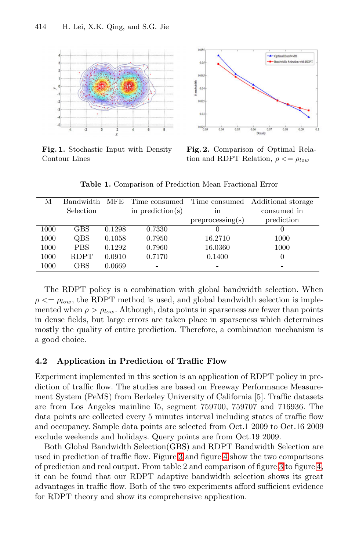<span id="page-6-0"></span>

**Fig. 1.** Stochastic Input with Density Contour Lines

**Fig. 2.** Comparison of Optimal Relation and RDPT Relation,  $\rho \leq \rho_{low}$ 

**Table 1.** Comparison of Prediction Mean Fractional Error

| М    | <b>Bandwidth</b> |        | MFE Time consumed | Time consumed    | Additional storage |
|------|------------------|--------|-------------------|------------------|--------------------|
|      | Selection        |        | in prediction(s)  | in               | consumed in        |
|      |                  |        |                   | preprocessing(s) | prediction         |
| 1000 | <b>GBS</b>       | 0.1298 | 0.7330            |                  |                    |
| 1000 | QBS              | 0.1058 | 0.7950            | 16.2710          | 1000               |
| 1000 | <b>PBS</b>       | 0.1292 | 0.7960            | 16.0360          | 1000               |
| 1000 | <b>RDPT</b>      | 0.0910 | 0.7170            | 0.1400           |                    |
| 1000 | <b>OBS</b>       | 0.0669 |                   |                  |                    |

The RDPT policy is a combination with global bandwidth selection. When  $\rho \leq \rho_{low}$ , the RDPT method is used, and global bandwidth selection is implemented when  $\rho > \rho_{low}$ . Although, data points in sparseness are fewer than points in dense fields, but large errors are taken place in sparseness which determines mostly the quality of entire prediction. Therefore, a combination mechanism is a good choice.

### **4.2 Application in Prediction of Traffic Flow**

Experiment implem[ent](#page-7-1)ed in this [sec](#page-7-2)tion is an application of RDPT policy in prediction of traffic flow. The studies are based on [Fr](#page-7-1)eeway [Per](#page-7-2)formance Measurement System (PeMS) from Berkeley University of California [5]. Traffic datasets are from Los Angeles mainline I5, segment 759700, 759707 and 716936. The data points are collected every 5 minutes interval including states of traffic flow and occupancy. Sample data points are selected from Oct.1 2009 to Oct.16 2009 exclude weekends and holidays. Query points are from Oct.19 2009.

Both Global Bandwidth Selection(GBS) and RDPT Bandwidth Selection are used in prediction of traffic flow. Figure 3 and figure 4 show the two comparisons of prediction and real output. From table 2 and comparison of figure 3 to figure 4, it can be found that our RDPT adaptive bandwidth selection shows its great advantages in traffic flow. Both of the two experiments afford sufficient evidence for RDPT theory and show its comprehensive application.